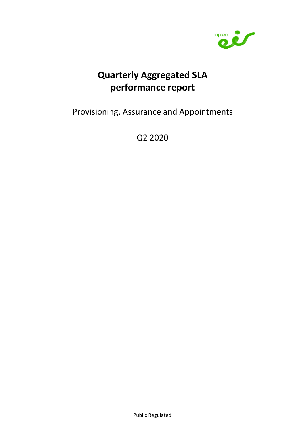

# Quarterly Aggregated SLA performance report

Provisioning, Assurance and Appointments

Q2 2020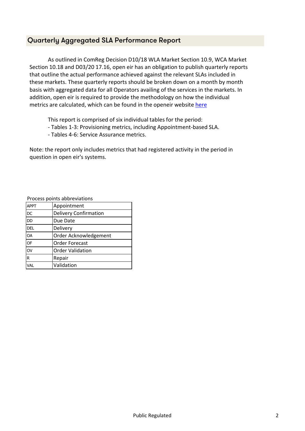#### Quarterly Aggregated SLA Performance Report

As outlined in ComReg Decision D10/18 WLA Market Section 10.9, WCA Market Section 10.18 and D03/20 17.16, open eir has an obligation to publish quarterly reports that outline the actual performance achieved against the relevant SLAs included in these markets. These quarterly reports should be broken down on a month by month basis with aggregated data for all Operators availing of the services in the markets. In addition, open eir is required to provide the methodology on how the individual metrics are calculated, which can be found in the openeir website here

This report is comprised of six individual tables for the period:

- Tables 1-3: Provisioning metrics, including Appointment-based SLA.
- Tables 4-6: Service Assurance metrics.

Note: the report only includes metrics that had registered activity in the period in question in open eir's systems.

Process points abbreviations

| <b>APPT</b>            | Appointment                  |
|------------------------|------------------------------|
| <b>DC</b>              | <b>Delivery Confirmation</b> |
| <b>DD</b>              | Due Date                     |
| <b>DEL</b>             | Delivery                     |
| <b>OA</b>              | Order Acknowledgement        |
| <b>OF</b>              | <b>Order Forecast</b>        |
| $\overline{\text{OV}}$ | <b>Order Validation</b>      |
| R                      | Repair                       |
| VAL                    | Validation                   |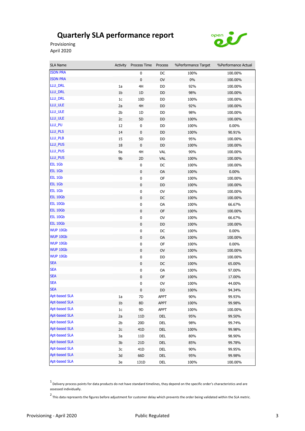open  $\overline{\bullet}$ 

Provisioning April 2020

п

| <b>SLA Name</b>      | Activity       | Process Time    | Process    | %Performance Target | %Performance Actual |
|----------------------|----------------|-----------------|------------|---------------------|---------------------|
| <b>ISDN PRA</b>      |                | 0               | DC         | 100%                | 100.00%             |
| <b>ISDN PRA</b>      |                | 0               | OV         | 0%                  | 100.00%             |
| LLU_DRL              | 1a             | 4H              | DD         | 92%                 | 100.00%             |
| LLU_DRL              | 1b             | 1D              | DD         | 98%                 | 100.00%             |
| LLU_DRL              | 1 <sub>c</sub> | 10D             | DD         | 100%                | 100.00%             |
| LLU_ULE              | 2a             | 4H              | DD         | 92%                 | 100.00%             |
| LLU_ULE              | 2 <sub>b</sub> | 1D              | DD         | 98%                 | 100.00%             |
| LLU_ULE              | 2c             | 5D              | DD         | 100%                | 100.00%             |
| LLU_PU               | 12             | 0               | DD         | 100%                | $0.00\%$            |
| LLU_PLS              | 14             | 0               | DD         | 100%                | 90.91%              |
| LLU_PLB              | 15             | 5D              | DD         | 95%                 | 100.00%             |
| LLU_PUS              | 18             | $\pmb{0}$       | DD         | 100%                | 100.00%             |
| LLU_PUS              | 9a             | 4H              | <b>VAL</b> | 90%                 | 100.00%             |
| LLU_PUS              | 9b             | 2D              | <b>VAL</b> | 100%                | 100.00%             |
| EIL 1Gb              |                | $\pmb{0}$       | DC         | 100%                | 100.00%             |
| EIL 1Gb              |                | 0               | OA         | 100%                | $0.00\%$            |
| EIL 1Gb              |                | $\pmb{0}$       | OF         | 100%                | 100.00%             |
| EIL 1Gb              |                | $\pmb{0}$       | DD         | 100%                | 100.00%             |
| EIL 1Gb              |                | $\pmb{0}$       | <b>OV</b>  | 100%                | 100.00%             |
| EIL 10Gb             |                | $\pmb{0}$       | DC         | 100%                | 100.00%             |
| EIL 10Gb             |                | $\pmb{0}$       | 0A         | 100%                | 66.67%              |
| EIL 10Gb             |                | $\pmb{0}$       | 0F         | 100%                | 100.00%             |
| EIL 10Gb             |                | 0               | OV         | 100%                | 66.67%              |
| EIL 10Gb             |                | 0               | DD         | 100%                | 100.00%             |
| WUP 10Gb             |                | $\pmb{0}$       | DC         | 100%                | $0.00\%$            |
| WUP 10Gb             |                | $\pmb{0}$       | OA         | 100%                | 100.00%             |
| WUP 10Gb             |                | $\pmb{0}$       | OF         | 100%                | 0.00%               |
| WUP 10Gb             |                | $\pmb{0}$       | <b>OV</b>  | 100%                | 100.00%             |
| WUP 10Gb             |                | $\pmb{0}$       | DD         | 100%                | 100.00%             |
| <b>SEA</b>           |                | $\pmb{0}$       | DC         | 100%                | 65.00%              |
| <b>SEA</b>           |                | $\pmb{0}$       | 0A         | 100%                | 97.00%              |
| <b>SEA</b>           |                | 0               | OF         | 100%                | 17.00%              |
| SEA                  |                | $\pmb{0}$       | OV         | 100%                | 44.00%              |
| <b>SEA</b>           |                | $\pmb{0}$       | DD         | 100%                | 94.34%              |
| <b>Apt-based SLA</b> | 1a             | 7D              | APPT       | 90%                 | 99.93%              |
| <b>Apt-based SLA</b> | 1 <sub>b</sub> | 8D              | APPT       | 100%                | 99.98%              |
| <b>Apt-based SLA</b> | $1c$           | 9D              | APPT       | 100%                | 100.00%             |
| <b>Apt-based SLA</b> | 2a             | 11D             | DEL        | 95%                 | 99.50%              |
| <b>Apt-based SLA</b> | 2 <sub>b</sub> | 20 <sub>D</sub> | DEL        | 98%                 | 99.74%              |
| <b>Apt-based SLA</b> | 2c             | 41D             | DEL        | 100%                | 99.98%              |
| <b>Apt-based SLA</b> | 3a             | 11D             | DEL        | 80%                 | 98.90%              |
| <b>Apt-based SLA</b> | 3b             | 21 <sub>D</sub> | DEL        | 85%                 | 99.78%              |
| <b>Apt-based SLA</b> | 3c             | 41 <sub>D</sub> | DEL        | 90%                 | 99.95%              |
| <b>Apt-based SLA</b> | 3d             | 66D             | DEL        | 95%                 | 99.98%              |
| <b>Apt-based SLA</b> | 3e             | 131D            | DEL        | 100%                | 100.00%             |

1<br>Delivery process points for data products do not have standard timelines, they depend on the specific order's characteristics and are assessed individually.

2 This data represents the figures before adjustment for customer delay which prevents the order being validated within the SLA metric.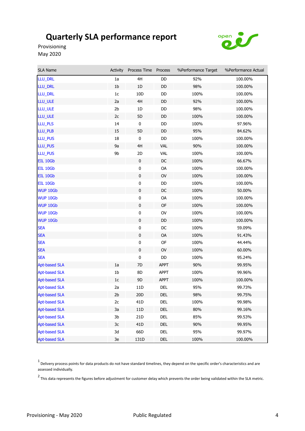

Provisioning May 2020

| SLA Name             | Activity       | Process Time Process |             | %Performance Target | %Performance Actual |
|----------------------|----------------|----------------------|-------------|---------------------|---------------------|
| LLU_DRL              | 1a             | 4H                   | DD          | 92%                 | 100.00%             |
| LLU_DRL              | $1b$           | 1D                   | DD          | 98%                 | 100.00%             |
| LLU_DRL              | 1 <sub>c</sub> | 10D                  | DD          | 100%                | 100.00%             |
| LLU_ULE              | 2a             | 4H                   | DD          | 92%                 | 100.00%             |
| LLU_ULE              | 2b             | 1D                   | DD          | 98%                 | 100.00%             |
| LLU_ULE              | 2c             | 5D                   | DD          | 100%                | 100.00%             |
| LLU_PLS              | 14             | 0                    | DD          | 100%                | 97.96%              |
| LLU_PLB              | 15             | 5D                   | DD          | 95%                 | 84.62%              |
| LLU_PUS              | 18             | $\pmb{0}$            | DD          | 100%                | 100.00%             |
| LLU_PUS              | 9a             | 4H                   | <b>VAL</b>  | 90%                 | 100.00%             |
| LLU_PUS              | 9b             | 2D                   | VAL         | 100%                | 100.00%             |
| EIL 10Gb             |                | $\pmb{0}$            | DC          | 100%                | 66.67%              |
| EIL 10Gb             |                | $\pmb{0}$            | OA          | 100%                | 100.00%             |
| EIL 10Gb             |                | 0                    | OV          | 100%                | 100.00%             |
| EIL 10Gb             |                | $\pmb{0}$            | DD          | 100%                | 100.00%             |
| WUP 10Gb             |                | $\pmb{0}$            | DC          | 100%                | 50.00%              |
| WUP 10Gb             |                | 0                    | OA          | 100%                | 100.00%             |
| WUP 10Gb             |                | $\pmb{0}$            | OF          | 100%                | 100.00%             |
| WUP 10Gb             |                | $\pmb{0}$            | <b>OV</b>   | 100%                | 100.00%             |
| WUP 10Gb             |                | $\mathbf 0$          | DD          | 100%                | 100.00%             |
| <b>SEA</b>           |                | $\pmb{0}$            | DC          | 100%                | 59.09%              |
| <b>SEA</b>           |                | $\pmb{0}$            | OA          | 100%                | 91.43%              |
| <b>SEA</b>           |                | $\pmb{0}$            | OF          | 100%                | 44.44%              |
| <b>SEA</b>           |                | $\pmb{0}$            | <b>OV</b>   | 100%                | 60.00%              |
| <b>SEA</b>           |                | $\pmb{0}$            | DD          | 100%                | 95.24%              |
| <b>Apt-based SLA</b> | 1a             | 7D                   | <b>APPT</b> | 90%                 | 99.95%              |
| <b>Apt-based SLA</b> | 1b             | 8D                   | <b>APPT</b> | 100%                | 99.96%              |
| <b>Apt-based SLA</b> | 1 <sub>c</sub> | 9D                   | <b>APPT</b> | 100%                | 100.00%             |
| <b>Apt-based SLA</b> | 2a             | 11D                  | DEL         | 95%                 | 99.73%              |
| <b>Apt-based SLA</b> | 2 <sub>b</sub> | 20 <sub>D</sub>      | DEL         | 98%                 | 99.75%              |
| <b>Apt-based SLA</b> | 2c             | 41 <sub>D</sub>      | DEL         | 100%                | 99.98%              |
| <b>Apt-based SLA</b> | 3a             | $11D$                | DEL         | 80%                 | 99.16%              |
| <b>Apt-based SLA</b> | 3 <sub>b</sub> | 21D                  | <b>DEL</b>  | 85%                 | 99.53%              |
| <b>Apt-based SLA</b> | 3c             | 41 <sub>D</sub>      | DEL         | 90%                 | 99.95%              |
| <b>Apt-based SLA</b> | 3d             | 66D                  | DEL         | 95%                 | 99.97%              |
| <b>Apt-based SLA</b> | 3e             | 131D                 | DEL         | 100%                | 100.00%             |

 $^1$  Delivery process points for data products do not have standard timelines, they depend on the specific order's characteristics and are assessed individually.

2 This data represents the figures before adjustment for customer delay which prevents the order being validated within the SLA metric.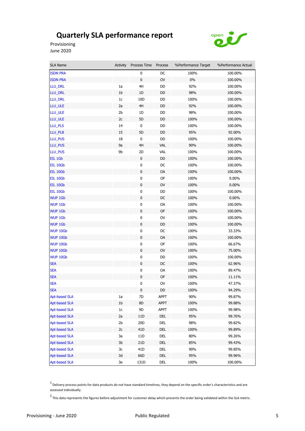

Provisioning June 2020

i.

| <b>SLA Name</b>      | Activity       | Process Time    | Process    | %Performance Target | %Performance Actual |
|----------------------|----------------|-----------------|------------|---------------------|---------------------|
| <b>ISDN PRA</b>      |                | 0               | DC         | 100%                | 100.00%             |
| <b>ISDN PRA</b>      |                | 0               | OV         | $0\%$               | 100.00%             |
| LLU_DRL              | 1a             | 4H              | DD         | 92%                 | 100.00%             |
| LLU_DRL              | 1 <sub>b</sub> | 1D              | DD         | 98%                 | 100.00%             |
| LLU_DRL              | 1c             | 10 <sub>D</sub> | DD         | 100%                | 100.00%             |
| LLU_ULE              | 2a             | 4H              | DD         | 92%                 | 100.00%             |
| LLU_ULE              | 2b             | 1D              | DD         | 98%                 | 100.00%             |
| LLU_ULE              | 2c             | 5D              | DD         | 100%                | 100.00%             |
| LLU_PLS              | 14             | 0               | DD         | 100%                | 100.00%             |
| LLU_PLB              | 15             | 5D              | DD         | 95%                 | 92.00%              |
| LLU_PUS              | 18             | $\bf{0}$        | DD         | 100%                | 100.00%             |
| LLU_PUS              | 9a             | 4H              | <b>VAL</b> | 90%                 | 100.00%             |
| LLU_PUS              | 9b             | 2D              | <b>VAL</b> | 100%                | 100.00%             |
| EIL 1Gb              |                | 0               | DD         | 100%                | 100.00%             |
| EIL 10Gb             |                | 0               | DC         | 100%                | 100.00%             |
| EIL 10Gb             |                | 0               | OA         | 100%                | 100.00%             |
| EIL 10Gb             |                | $\pmb{0}$       | OF         | 100%                | $0.00\%$            |
| EIL 10Gb             |                | $\pmb{0}$       | <b>OV</b>  | 100%                | $0.00\%$            |
| EIL 10Gb             |                | $\pmb{0}$       | DD         | 100%                | 100.00%             |
| WUP 1Gb              |                | $\pmb{0}$       | DC         | 100%                | $0.00\%$            |
| <b>WUP 1Gb</b>       |                | $\pmb{0}$       | 0A         | 100%                | 100.00%             |
| <b>WUP 1Gb</b>       |                | 0               | 0F         | 100%                | 100.00%             |
| <b>WUP 1Gb</b>       |                | 0               | OV         | 100%                | 100.00%             |
| <b>WUP 1Gb</b>       |                | $\pmb{0}$       | DD         | 100%                | 100.00%             |
| WUP 10Gb             |                | $\pmb{0}$       | DC         | 100%                | 33.33%              |
| WUP 10Gb             |                | $\pmb{0}$       | <b>OA</b>  | 100%                | 100.00%             |
| WUP 10Gb             |                | $\pmb{0}$       | OF         | 100%                | 66.67%              |
| WUP 10Gb             |                | $\pmb{0}$       | <b>OV</b>  | 100%                | 75.00%              |
| WUP 10Gb             |                | $\pmb{0}$       | DD         | 100%                | 100.00%             |
| <b>SEA</b>           |                | 0               | DC         | 100%                | 62.96%              |
| <b>SEA</b>           |                | $\pmb{0}$       | 0A         | 100%                | 89.47%              |
| <b>SEA</b>           |                | $\pmb{0}$       | OF         | 100%                | 11.11%              |
| <b>SEA</b>           |                | $\pmb{0}$       | OV         | 100%                | 47.37%              |
| <b>SEA</b>           |                | 0               | DD         | 100%                | 94.29%              |
| <b>Apt-based SLA</b> | 1a             | 7D              | APPT       | 90%                 | 99.87%              |
| <b>Apt-based SLA</b> | 1 <sub>b</sub> | 8D              | APPT       | 100%                | 99.88%              |
| <b>Apt-based SLA</b> | 1c             | 9D              | APPT       | 100%                | 99.98%              |
| <b>Apt-based SLA</b> | 2a             | 11D             | DEL        | 95%                 | 99.76%              |
| <b>Apt-based SLA</b> | 2 <sub>b</sub> | 20D             | DEL        | 98%                 | 99.82%              |
| <b>Apt-based SLA</b> | 2c             | 41 <sub>D</sub> | DEL        | 100%                | 99.89%              |
| <b>Apt-based SLA</b> | 3a             | 11D             | DEL        | 80%                 | 99.26%              |
| <b>Apt-based SLA</b> | 3b             | 21D             | DEL        | 85%                 | 99.43%              |
| <b>Apt-based SLA</b> | Зc             | 41D             | DEL        | 90%                 | 99.85%              |
| <b>Apt-based SLA</b> | 3d             | 66D             | DEL        | 95%                 | 99.96%              |
| <b>Apt-based SLA</b> | 3e             | 131D            | del        | 100%                | 100.00%             |

1<br>Delivery process points for data products do not have standard timelines, they depend on the specific order's characteristics and are assessed individually.

2 This data represents the figures before adjustment for customer delay which prevents the order being validated within the SLA metric.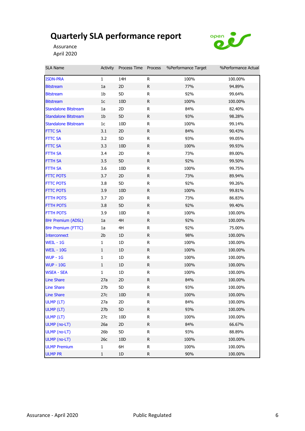

Assurance April 2020

| <b>SLA Name</b>             | Activity        | Process Time Process |              | %Performance Target | %Performance Actual |
|-----------------------------|-----------------|----------------------|--------------|---------------------|---------------------|
| <b>ISDN-PRA</b>             | $\mathbf{1}$    | 14H                  | R            | 100%                | 100.00%             |
| <b>Bitstream</b>            | 1a              | 2D                   | R            | 77%                 | 94.89%              |
| Bitstream                   | 1b              | 5D                   | R            | 92%                 | 99.64%              |
| <b>Bitstream</b>            | 1c              | 10D                  | R            | 100%                | 100.00%             |
| <b>Standalone Bitstream</b> | 1a              | 2D                   | R            | 84%                 | 82.40%              |
| <b>Standalone Bitstream</b> | 1 <sub>b</sub>  | 5D                   | R            | 93%                 | 98.28%              |
| <b>Standalone Bitstream</b> | 1 <sub>c</sub>  | 10D                  | R            | 100%                | 99.14%              |
| <b>FTTC SA</b>              | 3.1             | 2D                   | R            | 84%                 | 90.43%              |
| <b>FTTC SA</b>              | 3.2             | 5D                   | R            | 93%                 | 99.05%              |
| <b>FTTC SA</b>              | 3.3             | 10 <sub>D</sub>      | R            | 100%                | 99.93%              |
| FTTH SA                     | 3.4             | 2D                   | R            | 73%                 | 89.00%              |
| <b>FTTH SA</b>              | 3.5             | 5D                   | $\mathsf{R}$ | 92%                 | 99.50%              |
| <b>FTTH SA</b>              | 3.6             | 10D                  | R            | 100%                | 99.75%              |
| <b>FTTC POTS</b>            | 3.7             | 2D                   | R            | 73%                 | 89.94%              |
| <b>FTTC POTS</b>            | 3.8             | 5D                   | R            | 92%                 | 99.26%              |
| <b>FTTC POTS</b>            | 3.9             | 10 <sub>D</sub>      | R            | 100%                | 99.81%              |
| <b>FTTH POTS</b>            | 3.7             | 2D                   | R            | 73%                 | 86.83%              |
| <b>FTTH POTS</b>            | 3.8             | 5D                   | R            | 92%                 | 99.40%              |
| <b>FTTH POTS</b>            | 3.9             | 10D                  | R            | 100%                | 100.00%             |
| 8Hr Premium (ADSL)          | 1a              | 4H                   | R            | 92%                 | 100.00%             |
| 8Hr Premium (FTTC)          | 1a              | 4H                   | R            | 92%                 | 75.00%              |
| <b>Interconnect</b>         | 2 <sub>b</sub>  | 1D                   | R            | 98%                 | 100.00%             |
| WEIL - 1G                   | $\mathbf{1}$    | 1D                   | R            | 100%                | 100.00%             |
| <b>WEIL - 10G</b>           | $\mathbf{1}$    | 1D                   | $\mathsf{R}$ | 100%                | 100.00%             |
| <b>WUP - 1G</b>             | 1               | 1D                   | R            | 100%                | 100.00%             |
| <b>WUP - 10G</b>            | $\mathbf{1}$    | 1D                   | R            | 100%                | 100.00%             |
| <b>WSEA - SEA</b>           | 1               | 1D                   | R            | 100%                | 100.00%             |
| <b>Line Share</b>           | 27a             | 2D                   | R            | 84%                 | 100.00%             |
| <b>Line Share</b>           | 27 <sub>b</sub> | 5D                   | R            | 93%                 | 100.00%             |
| <b>Line Share</b>           | 27c             | 10D                  | R            | 100%                | 100.00%             |
| ULMP (LT)                   | 27a             | 2D                   | R            | 84%                 | 100.00%             |
| ULMP (LT)                   | 27 <sub>b</sub> | 5D                   | R            | 93%                 | 100.00%             |
| ULMP (LT)                   | 27c             | 10D                  | R            | 100%                | 100.00%             |
| ULMP (no-LT)                | 26a             | 2D                   | R            | 84%                 | 66.67%              |
| ULMP (no-LT)                | 26 <sub>b</sub> | 5D                   | R            | 93%                 | 88.89%              |
| ULMP (no-LT)                | 26c             | 10D                  | R            | 100%                | 100.00%             |
| <b>ULMP Premium</b>         | 1               | 6H                   | R            | 100%                | 100.00%             |
| <b>ULMP PR</b>              | $\mathbf 1$     | 1D                   | R            | 90%                 | 100.00%             |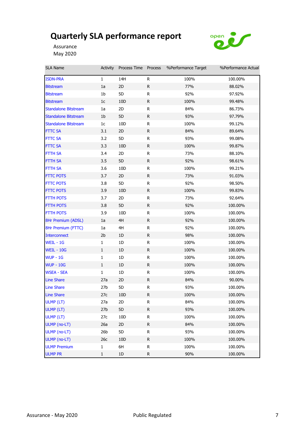

Assurance May 2020

| <b>SLA Name</b>             | Activity        | Process Time Process |              | %Performance Target | %Performance Actual |
|-----------------------------|-----------------|----------------------|--------------|---------------------|---------------------|
| <b>ISDN-PRA</b>             | $\mathbf{1}$    | 14H                  | R            | 100%                | 100.00%             |
| <b>Bitstream</b>            | 1a              | 2D                   | R            | 77%                 | 88.02%              |
| Bitstream                   | 1b              | 5D                   | R            | 92%                 | 97.92%              |
| <b>Bitstream</b>            | 1c              | 10D                  | R            | 100%                | 99.48%              |
| <b>Standalone Bitstream</b> | 1a              | 2D                   | R            | 84%                 | 86.73%              |
| <b>Standalone Bitstream</b> | 1 <sub>b</sub>  | 5D                   | R            | 93%                 | 97.79%              |
| <b>Standalone Bitstream</b> | 1 <sub>c</sub>  | 10D                  | R            | 100%                | 99.12%              |
| <b>FTTC SA</b>              | 3.1             | 2D                   | R            | 84%                 | 89.64%              |
| <b>FTTC SA</b>              | 3.2             | 5D                   | R            | 93%                 | 99.08%              |
| <b>FTTC SA</b>              | 3.3             | 10 <sub>D</sub>      | R            | 100%                | 99.87%              |
| FTTH SA                     | 3.4             | 2D                   | R            | 73%                 | 88.10%              |
| <b>FTTH SA</b>              | 3.5             | 5D                   | $\mathsf{R}$ | 92%                 | 98.61%              |
| <b>FTTH SA</b>              | 3.6             | 10D                  | R            | 100%                | 99.21%              |
| <b>FTTC POTS</b>            | 3.7             | 2D                   | R            | 73%                 | 91.03%              |
| <b>FTTC POTS</b>            | 3.8             | 5D                   | R            | 92%                 | 98.50%              |
| <b>FTTC POTS</b>            | 3.9             | 10 <sub>D</sub>      | R            | 100%                | 99.83%              |
| <b>FTTH POTS</b>            | 3.7             | 2D                   | R            | 73%                 | 92.64%              |
| <b>FTTH POTS</b>            | 3.8             | 5D                   | R            | 92%                 | 100.00%             |
| <b>FTTH POTS</b>            | 3.9             | 10D                  | R            | 100%                | 100.00%             |
| 8Hr Premium (ADSL)          | 1a              | 4H                   | R            | 92%                 | 100.00%             |
| 8Hr Premium (FTTC)          | 1a              | 4H                   | R            | 92%                 | 100.00%             |
| <b>Interconnect</b>         | 2 <sub>b</sub>  | 1D                   | R            | 98%                 | 100.00%             |
| WEIL - 1G                   | $\mathbf{1}$    | 1D                   | R            | 100%                | 100.00%             |
| <b>WEIL - 10G</b>           | $\mathbf{1}$    | 1D                   | $\mathsf{R}$ | 100%                | 100.00%             |
| <b>WUP - 1G</b>             | 1               | 1D                   | R            | 100%                | 100.00%             |
| <b>WUP - 10G</b>            | $\mathbf{1}$    | 1D                   | R            | 100%                | 100.00%             |
| <b>WSEA - SEA</b>           | 1               | 1D                   | R            | 100%                | 100.00%             |
| <b>Line Share</b>           | 27a             | 2D                   | R            | 84%                 | 90.00%              |
| <b>Line Share</b>           | 27 <sub>b</sub> | 5D                   | R            | 93%                 | 100.00%             |
| <b>Line Share</b>           | 27c             | 10D                  | R            | 100%                | 100.00%             |
| ULMP (LT)                   | 27a             | 2D                   | R            | 84%                 | 100.00%             |
| ULMP (LT)                   | 27 <sub>b</sub> | 5D                   | R            | 93%                 | 100.00%             |
| ULMP (LT)                   | 27c             | 10D                  | R            | 100%                | 100.00%             |
| ULMP (no-LT)                | 26a             | 2D                   | R            | 84%                 | 100.00%             |
| ULMP (no-LT)                | 26 <sub>b</sub> | 5D                   | R            | 93%                 | 100.00%             |
| ULMP (no-LT)                | 26c             | 10D                  | R            | 100%                | 100.00%             |
| <b>ULMP Premium</b>         | 1               | 6H                   | R            | 100%                | 100.00%             |
| <b>ULMP PR</b>              | $\mathbf 1$     | 1D                   | R            | 90%                 | 100.00%             |